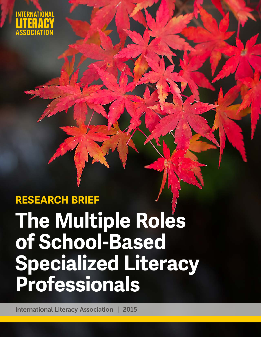

# **The Multiple Roles of School-Based Specialized Literacy Professionals RESEARCH BRIEF**

International Literacy Association | 2015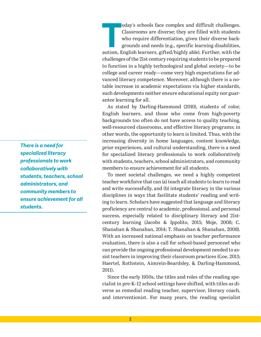oday's schools face complex and difficult challenges.<br>Classrooms are diverse; they are filled with students<br>who require differentiation, given their diverse back-<br>grounds and needs (e.g., specific learning disabilities,<br>au oday's schools face complex and difficult challenges. Classrooms are diverse; they are filled with students who require differentiation, given their diverse backgrounds and needs (e.g., specific learning disabilities, challenges of the 21st century requiring students to be prepared to function in a highly technological and global society—to be college and career ready—come very high expectations for advanced literacy competence. Moreover, although there is a notable increase in academic expectations via higher standards, such developments neither ensure educational equity nor guarantee learning for all.

As stated by Darling-Hammond (2010), students of color, English learners, and those who come from high-poverty backgrounds too often do not have access to quality teaching, well-resourced classrooms, and effective literacy programs; in other words, the opportunity to learn is limited. Thus, with the increasing diversity in home languages, content knowledge, prior experiences, and cultural understanding, there is a need for specialized literacy professionals to work collaboratively with students, teachers, school administrators, and community members to ensure achievement for all students.

To meet societal challenges, we need a highly competent teacher workforce that can (a) teach all students to learn to read and write successfully, and (b) integrate literacy in the various disciplines in ways that facilitate students' reading and writing to learn. Scholars have suggested that language and literacy proficiency are central to academic, professional, and personal success, especially related to disciplinary literacy and 21stcentury learning (Jacobs & Ippolito, 2015; Moje, 2008; C. Shanahan & Shanahan, 2014; T. Shanahan & Shanahan, 2008). With an increased national emphasis on teacher performance evaluation, there is also a call for school-based personnel who can provide the ongoing professional development needed to assist teachers in improving their classroom practices (Goe, 2013; Haertel, Rothstein, Aimrein-Beardsley, & Darling-Hammond, 2011).

Since the early 1950s, the titles and roles of the reading specialist in pre-K–12 school settings have shifted, with titles as diverse as remedial reading teacher, supervisor, literacy coach, and interventionist. For many years, the reading specialist

*There is a need for specialized literacy professionals to work collaboratively with students, teachers, school administrators, and community members to ensure achievement for all students.*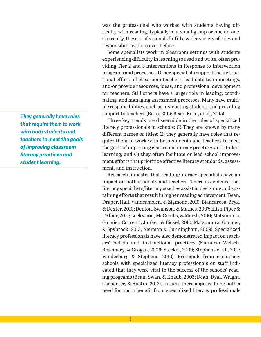was the professional who worked with students having difficulty with reading, typically in a small group or one on one. Currently, these professionals fulfill a wider variety of roles and responsibilities than ever before.

Some specialists work in classroom settings with students experiencing difficulty in learning to read and write, often providing Tier 2 and 3 interventions in Response to Intervention programs and processes. Other specialists support the instructional efforts of classroom teachers, lead data team meetings, and/or provide resources, ideas, and professional development for teachers. Still others have a larger role in leading, coordinating, and managing assessment processes. Many have multiple responsibilities, such as instructing students and providing support to teachers (Bean, 2015; Bean, Kern, et al., 2015).

Three key trends are discernible in the roles of specialized literacy professionals in schools: (1) They are known by many different names or titles; (2) they generally have roles that require them to work with both students and teachers to meet the goals of improving classroom literacy practices and student learning; and (3) they often facilitate or lead school improvement efforts that prioritize effective literacy standards, assessment, and instruction.

Research indicates that reading/literacy specialists have an impact on both students and teachers. There is evidence that literacy specialists/literacy coaches assist in designing and sustaining efforts that result in higher reading achievement (Bean, Draper, Hall, Vandermolen, & Zigmond, 2010; Biancarosa, Bryk, & Dexter, 2010; Denton, Swanson, & Mathes, 2007; Elish-Piper & L'Allier, 2011; Lockwood, McCombs, & Marsh, 2010; Matsumura, Garnier, Correnti, Junker, & Bickel, 2010; Matsumura, Garnier, & Spybrook, 2013; Neuman & Cunningham, 2009). Specialized literacy professionals have also demonstrated impact on teachers' beliefs and instructional practices (Kinnucan-Welsch, Rosemary, & Grogan, 2006; Steckel, 2009; Stephens et al., 2011; Vanderburg & Stephens, 2010). Principals from exemplary schools with specialized literacy professionals on staff indicated that they were vital to the success of the schools' reading programs (Bean, Swan, & Knaub, 2003; Dean, Dyal, Wright, Carpenter, & Austin, 2012). In sum, there appears to be both a need for and a benefit from specialized literacy professionals

*They generally have roles that require them to work with both students and teachers to meet the goals of improving classroom literacy practices and student learning.*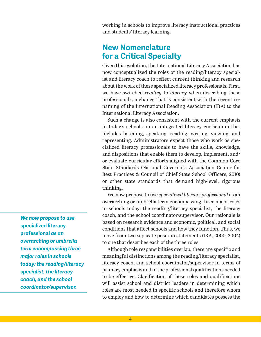working in schools to improve literacy instructional practices and students' literacy learning.

# **New Nomenclature for a Critical Specialty**

Given this evolution, the International Literary Association has now conceptualized the roles of the reading/literacy specialist and literacy coach to reflect current thinking and research about the work of these specialized literacy professionals. First, we have switched *reading* to *literacy* when describing these professionals, a change that is consistent with the recent renaming of the International Reading Association (IRA) to the International Literacy Association.

Such a change is also consistent with the current emphasis in today's schools on an integrated literacy curriculum that includes listening, speaking, reading, writing, viewing, and representing. Administrators expect those who work as specialized literacy professionals to have the skills, knowledge, and dispositions that enable them to develop, implement, and/ or evaluate curricular efforts aligned with the Common Core State Standards (National Governors Association Center for Best Practices & Council of Chief State School Officers, 2010) or other state standards that demand high-level, rigorous thinking.

We now propose to use *specialized literacy professional* as an overarching or umbrella term encompassing three major roles in schools today: the reading/literacy specialist, the literacy coach, and the school coordinator/supervisor. Our rationale is based on research evidence and economic, political, and social conditions that affect schools and how they function. Thus, we move from two separate position statements (IRA, 2000, 2004) to one that describes each of the three roles.

Although role responsibilities overlap, there are specific and meaningful distinctions among the reading/literacy specialist, literacy coach, and school coordinator/supervisor in terms of primary emphasis and in the professional qualifications needed to be effective. Clarification of these roles and qualifications will assist school and district leaders in determining which roles are most needed in specific schools and therefore whom to employ and how to determine which candidates possess the

*We now propose to use*  **specialized literacy professional** *as an overarching or umbrella term encompassing three major roles in schools today: the reading/literacy specialist, the literacy coach, and the school coordinator/supervisor.*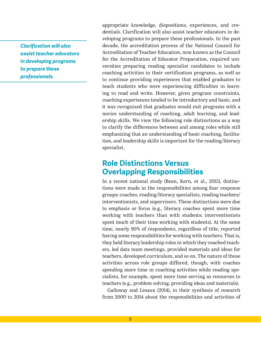*Clarification will also assist teacher educators in developing programs to prepare these professionals.*

appropriate knowledge, dispositions, experiences, and credentials. Clarification will also assist teacher educators in developing programs to prepare these professionals. In the past decade, the accreditation process of the National Council for Accreditation of Teacher Education, now known as the Council for the Accreditation of Educator Preparation, required universities preparing reading specialist candidates to include coaching activities in their certification programs, as well as to continue providing experiences that enabled graduates to teach students who were experiencing difficulties in learning to read and write. However, given program constraints, coaching experiences tended to be introductory and basic, and it was recognized that graduates would exit programs with a novice understanding of coaching, adult learning, and leadership skills. We view the following role distinctions as a way to clarify the differences between and among roles while still emphasizing that an understanding of basic coaching, facilitation, and leadership skills is important for the reading/literacy specialist.

# **Role Distinctions Versus Overlapping Responsibilities**

In a recent national study (Bean, Kern, et al., 2015), distinctions were made in the responsibilities among four response groups: coaches, reading/literacy specialists, reading teachers/ interventionists, and supervisors. These distinctions were due to emphasis or focus (e.g., literacy coaches spent more time working with teachers than with students; interventionists spent much of their time working with students). At the same time, nearly 90% of respondents, regardless of title, reported having some responsibilities for working with teachers. That is, they held literacy leadership roles in which they coached teachers, led data team meetings, provided materials and ideas for teachers, developed curriculum, and so on. The nature of those activities across role groups differed, though, with coaches spending more time in coaching activities while reading specialists, for example, spent more time serving as resources to teachers (e.g., problem solving, providing ideas and materials).

Galloway and Lesaux (2014), in their synthesis of research from 2000 to 2014 about the responsibilities and activities of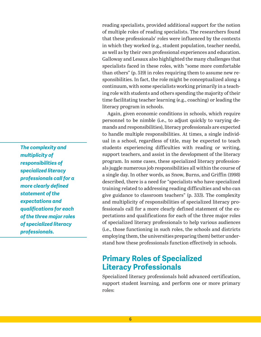reading specialists, provided additional support for the notion of multiple roles of reading specialists. The researchers found that these professionals' roles were influenced by the contexts in which they worked (e.g., student population, teacher needs), as well as by their own professional experiences and education. Galloway and Lesaux also highlighted the many challenges that specialists faced in these roles, with "some more comfortable than others" (p. 519) in roles requiring them to assume new responsibilities. In fact, the role might be conceptualized along a continuum, with some specialists working primarily in a teaching role with students and others spending the majority of their time facilitating teacher learning (e.g., coaching) or leading the literacy program in schools.

Again, given economic conditions in schools, which require personnel to be nimble (i.e., to adjust quickly to varying demands and responsibilities), literacy professionals are expected to handle multiple responsibilities. At times, a single individual in a school, regardless of title, may be expected to teach students experiencing difficulties with reading or writing, support teachers, and assist in the development of the literacy program. In some cases, these specialized literacy professionals juggle numerous job responsibilities all within the course of a single day. In other words, as Snow, Burns, and Griffin (1998) described, there is a need for "specialists who have specialized training related to addressing reading difficulties and who can give guidance to classroom teachers" (p. 333). The complexity and multiplicity of responsibilities of specialized literacy professionals call for a more clearly defined statement of the expectations and qualifications for each of the three major roles of specialized literacy professionals to help various audiences (i.e., those functioning in such roles, the schools and districts employing them, the universities preparing them) better understand how these professionals function effectively in schools.

# **Primary Roles of Specialized Literacy Professionals**

Specialized literacy professionals hold advanced certification, support student learning, and perform one or more primary roles:

*The complexity and multiplicity of responsibilities of specialized literacy professionals call for a more clearly defined statement of the expectations and qualifications for each of the three major roles of specialized literacy professionals.*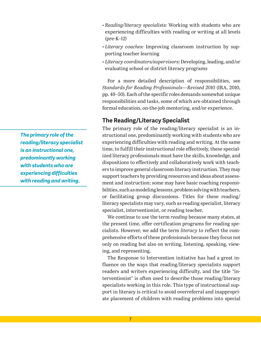- *• Reading/literacy specialists:* Working with students who are experiencing difficulties with reading or writing at all levels (pre-K–12)
- *Literacy coaches:* Improving classroom instruction by supporting teacher learning
- *Literacy coordinators/supervisors:* Developing, leading, and/or evaluating school or district literacy programs

For a more detailed description of responsibilities, see *Standards for Reading Professionals—Revised 2010* (IRA, 2010, pp. 49–50). Each of the specific roles demands somewhat unique responsibilities and tasks, some of which are obtained through formal education, on-the-job mentoring, and/or experience.

## **The Reading/Literacy Specialist**

The primary role of the reading/literacy specialist is an instructional one, predominantly working with students who are experiencing difficulties with reading and writing. At the same time, to fulfill their instructional role effectively, these specialized literacy professionals must have the skills, knowledge, and dispositions to effectively and collaboratively work with teachers to improve general classroom literacy instruction. They may support teachers by providing resources and ideas about assessment and instruction; some may have basic coaching responsibilities, such as modeling lessons, problem solving with teachers, or facilitating group discussions. Titles for these reading/ literacy specialists may vary, such as reading specialist, literacy specialist, interventionist, or reading teacher.

We continue to use the term *reading* because many states, at the present time, offer certification programs for reading specialists. However, we add the term *literacy* to reflect the comprehensive efforts of these professionals because they focus not only on reading but also on writing, listening, speaking, viewing, and representing.

The Response to Intervention initiative has had a great influence on the ways that reading/literacy specialists support readers and writers experiencing difficulty, and the title "interventionist" is often used to describe those reading/literacy specialists working in this role. This type of instructional support in literacy is critical to avoid overreferral and inappropriate placement of children with reading problems into special

*The primary role of the reading/literacy specialist is an instructional one, predominantly working with students who are experiencing difficulties with reading and writing.*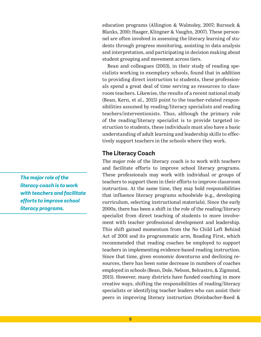education programs (Allington & Walmsley, 2007; Bursuck & Blanks, 2010; Haager, Klingner & Vaughn, 2007). These personnel are often involved in assessing the literacy learning of students through progress monitoring, assisting in data analysis and interpretation, and participating in decision making about student grouping and movement across tiers.

Bean and colleagues (2003), in their study of reading specialists working in exemplary schools, found that in addition to providing direct instruction to students, these professionals spend a great deal of time serving as resources to classroom teachers. Likewise, the results of a recent national study (Bean, Kern, et al., 2015) point to the teacher-related responsibilities assumed by reading/literacy specialists and reading teachers/interventionists. Thus, although the primary role of the reading/literacy specialist is to provide targeted instruction to students, these individuals must also have a basic understanding of adult learning and leadership skills to effectively support teachers in the schools where they work.

## **The Literacy Coach**

The major role of the literacy coach is to work with teachers and facilitate efforts to improve school literacy programs. These professionals may work with individual or groups of teachers to support them in their efforts to improve classroom instruction. At the same time, they may hold responsibilities that influence literacy programs schoolwide (e.g., developing curriculum, selecting instructional materials). Since the early 2000s, there has been a shift in the role of the reading/literacy specialist from direct teaching of students to more involvement with teacher professional development and leadership. This shift gained momentum from the No Child Left Behind Act of 2001 and its programmatic arm, Reading First, which recommended that reading coaches be employed to support teachers in implementing evidence-based reading instruction. Since that time, given economic downturns and declining resources, there has been some decrease in numbers of coaches employed in schools (Bean, Dole, Nelson, Belcastro, & Zigmond, 2015). However, many districts have funded coaching in more creative ways, shifting the responsibilities of reading/literacy specialists or identifying teacher leaders who can assist their peers in improving literacy instruction (Steinbacher-Reed &

*The major role of the literacy coach is to work with teachers and facilitate efforts to improve school literacy programs.*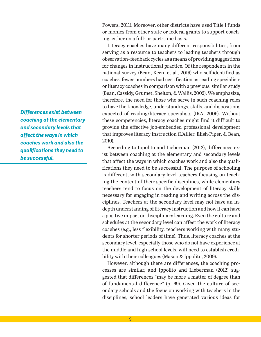Powers, 2011). Moreover, other districts have used Title I funds or monies from other state or federal grants to support coaching, either on a full- or part-time basis.

Literacy coaches have many different responsibilities, from serving as a resource to teachers to leading teachers through observation–feedback cycles as a means of providing suggestions for changes in instructional practice. Of the respondents in the national survey (Bean, Kern, et al., 2015) who self-identified as coaches, fewer numbers had certification as reading specialists or literacy coaches in comparison with a previous, similar study (Bean, Cassidy, Grumet, Shelton, & Wallis, 2002). We emphasize, therefore, the need for those who serve in such coaching roles to have the knowledge, understandings, skills, and dispositions expected of reading/literacy specialists (IRA, 2006). Without these competencies, literacy coaches might find it difficult to provide the effective job-embedded professional development that improves literacy instruction (L'Allier, Elish-Piper, & Bean, 2010).

According to Ippolito and Lieberman (2012), differences exist between coaching at the elementary and secondary levels that affect the ways in which coaches work and also the qualifications they need to be successful. The purpose of schooling is different, with secondary-level teachers focusing on teaching the content of their specific disciplines, while elementary teachers tend to focus on the development of literacy skills necessary for engaging in reading and writing across the disciplines. Teachers at the secondary level may not have an indepth understanding of literacy instruction and how it can have a positive impact on disciplinary learning. Even the culture and schedules at the secondary level can affect the work of literacy coaches (e.g., less flexibility, teachers working with many students for shorter periods of time). Thus, literacy coaches at the secondary level, especially those who do not have experience at the middle and high school levels, will need to establish credibility with their colleagues (Mason & Ippolito, 2009).

However, although there are differences, the coaching processes are similar, and Ippolito and Lieberman (2012) suggested that differences "may be more a matter of degree than of fundamental difference" (p. 69). Given the culture of secondary schools and the focus on working with teachers in the disciplines, school leaders have generated various ideas for

*Differences exist between coaching at the elementary and secondary levels that affect the ways in which coaches work and also the qualifications they need to be successful.*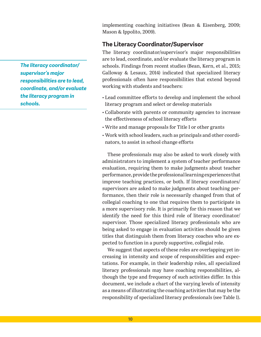implementing coaching initiatives (Bean & Eisenberg, 2009; Mason & Ippolito, 2009).

## **The Literacy Coordinator/Supervisor**

The literacy coordinator/supervisor's major responsibilities are to lead, coordinate, and/or evaluate the literacy program in schools. Findings from recent studies (Bean, Kern, et al., 2015; Galloway & Lesaux, 2014) indicated that specialized literacy professionals often have responsibilities that extend beyond working with students and teachers:

- Lead committee efforts to develop and implement the school literacy program and select or develop materials
- Collaborate with parents or community agencies to increase the effectiveness of school literacy efforts
- Write and manage proposals for Title I or other grants
- Work with school leaders, such as principals and other coordinators, to assist in school change efforts

These professionals may also be asked to work closely with administrators to implement a system of teacher performance evaluation, requiring them to make judgments about teacher performance, provide the professional learning experiences that improve teaching practices, or both. If literacy coordinators/ supervisors are asked to make judgments about teaching performance, then their role is necessarily changed from that of collegial coaching to one that requires them to participate in a more supervisory role. It is primarily for this reason that we identify the need for this third role of literacy coordinator/ supervisor. Those specialized literacy professionals who are being asked to engage in evaluation activities should be given titles that distinguish them from literacy coaches who are expected to function in a purely supportive, collegial role.

We suggest that aspects of these roles are overlapping yet increasing in intensity and scope of responsibilities and expectations. For example, in their leadership roles, all specialized literacy professionals may have coaching responsibilities, although the type and frequency of such activities differ. In this document, we include a chart of the varying levels of intensity as a means of illustrating the coaching activities that may be the responsibility of specialized literacy professionals (see Table 1).

*The literacy coordinator/ supervisor's major responsibilities are to lead, coordinate, and/or evaluate the literacy program in schools.*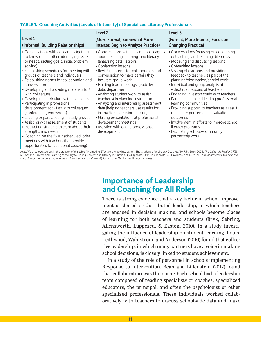### **TABLE 1. Coaching Activities (Levels of Intensity) of Specialized Literacy Professionals**

|                                                                                                                                                                                                                                                                                                                                                                                                                                                                                                                                                                                                                                                                                                                                                                                                               | Level 2                                                                                                                                                                                                                                                                                                                                                                                                                                                                                                                                                                                                                                       | Level 3                                                                                                                                                                                                                                                                                                                                                                                                                                                                                                                                                                                                                                                                            |
|---------------------------------------------------------------------------------------------------------------------------------------------------------------------------------------------------------------------------------------------------------------------------------------------------------------------------------------------------------------------------------------------------------------------------------------------------------------------------------------------------------------------------------------------------------------------------------------------------------------------------------------------------------------------------------------------------------------------------------------------------------------------------------------------------------------|-----------------------------------------------------------------------------------------------------------------------------------------------------------------------------------------------------------------------------------------------------------------------------------------------------------------------------------------------------------------------------------------------------------------------------------------------------------------------------------------------------------------------------------------------------------------------------------------------------------------------------------------------|------------------------------------------------------------------------------------------------------------------------------------------------------------------------------------------------------------------------------------------------------------------------------------------------------------------------------------------------------------------------------------------------------------------------------------------------------------------------------------------------------------------------------------------------------------------------------------------------------------------------------------------------------------------------------------|
| Level 1<br>(Informal; Building Relationships)                                                                                                                                                                                                                                                                                                                                                                                                                                                                                                                                                                                                                                                                                                                                                                 | (More Formal; Somewhat More<br>Intense; Begin to Analyze Practice)                                                                                                                                                                                                                                                                                                                                                                                                                                                                                                                                                                            | (Formal; More Intense; Focus on<br><b>Changing Practice)</b>                                                                                                                                                                                                                                                                                                                                                                                                                                                                                                                                                                                                                       |
| • Conversations with colleagues (getting<br>to know one another, identifying issues<br>or needs, setting goals, initial problem<br>solving)<br>• Establishing schedules for meeting with<br>groups of teachers and individuals<br>• Establishing norms for collaboration and<br>conversation<br>• Developing and providing materials for/<br>with colleagues<br>• Developing curriculum with colleagues<br>• Participating in professional<br>development activities with colleagues<br>(conferences, workshops)<br>• Leading or participating in study groups<br>• Assisting with assessment of students<br>• Instructing students to learn about their<br>strengths and needs<br>• Coaching on the fly (unscheduled, brief<br>meetings with teachers that provide<br>opportunities for additional coaching) | • Conversations with individual colleagues<br>about teaching, learning, and literacy<br>(analyzing data, lessons)<br>• Coplanning lessons<br>• Revisiting norms for collaboration and<br>conversation to make certain they<br>facilitate group work<br>· Holding team meetings (grade level,<br>data, department)<br>• Analyzing student work to assist<br>teacher(s) in planning instruction<br>• Analyzing and interpreting assessment<br>data (helping teachers use results for<br>instructional decision making)<br>• Making presentations at professional<br>development meetings<br>• Assisting with online professional<br>development | • Conversations focusing on coplanning,<br>coteaching, and teaching dilemmas<br>• Modeling and discussing lessons<br>• Coteaching lessons<br>• Visiting classrooms and providing<br>feedback to teachers as part of the<br>planning/observation/debrief cycle<br>• Individual and group analysis of<br>videotaped lessons of teachers<br>• Engaging in lesson study with teachers<br>• Participating in and leading professional<br>learning communities<br>• Providing support to teachers as a result<br>of teacher performance evaluation<br>outcomes<br>• Involvement in efforts to improve school<br>literacy programs<br>• Facilitating school-community<br>partnership work |

*Note*. We used two sources in the creation of this table: "Promoting Effective Literacy Instruction: The Challenge for Literacy Coaches," by R.M. Bean, 2004, *The California Reader*, 37(3), 58–63; and "Professional Learning as the Key to Linking Content and Literacy Instruction," by J. Ippolito, 2013, in J. Ippolito, J.F. Lawrence, and C. Zaller (Eds.), *Adolescent Literacy in the Era of the Common Core: From Research Into Practice* (pp. 215–234), Cambridge, MA: Harvard Education Press.

# **Importance of Leadership and Coaching for All Roles**

There is strong evidence that a key factor in school improvement is shared or distributed leadership, in which teachers are engaged in decision making, and schools become places of learning for both teachers and students (Bryk, Sebring, Allensworth, Luppescu, & Easton, 2010). In a study investigating the influence of leadership on student learning, Louis, Leithwood, Wahlstrom, and Anderson (2010) found that collective leadership, in which many partners have a voice in making school decisions, is closely linked to student achievement.

In a study of the role of personnel in schools implementing Response to Intervention, Bean and Lillenstein (2012) found that collaboration was the norm: Each school had a leadership team composed of reading specialists or coaches, specialized educators, the principal, and often the psychologist or other specialized professionals. These individuals worked collaboratively with teachers to discuss schoolwide data and make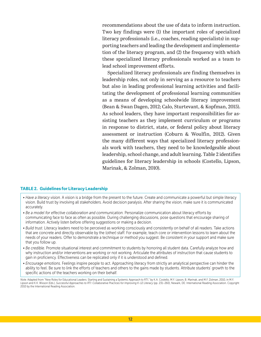recommendations about the use of data to inform instruction. Two key findings were (1) the important roles of specialized literacy professionals (i.e., coaches, reading specialists) in supporting teachers and leading the development and implementation of the literacy program, and (2) the frequency with which these specialized literacy professionals worked as a team to lead school improvement efforts.

Specialized literacy professionals are finding themselves in leadership roles, not only in serving as a resource to teachers but also in leading professional learning activities and facilitating the development of professional learning communities as a means of developing schoolwide literacy improvement (Bean & Swan Dagen, 2012; Calo, Sturtevant, & Kopfman, 2015). As school leaders, they have important responsibilities for assisting teachers as they implement curriculum or programs in response to district, state, or federal policy about literacy assessment or instruction (Coburn & Woulfin, 2012). Given the many different ways that specialized literacy professionals work with teachers, they need to be knowledgeable about leadership, school change, and adult learning. Table 2 identifies guidelines for literacy leadership in schools (Costello, Lipson, Marinak, & Zolman, 2010).

#### **TABLE 2. Guidelines for Literacy Leadership**

- *Have a literacy vision.* A vision is a bridge from the present to the future. Create and communicate a powerful but simple literacy vision. Build trust by involving all stakeholders. Avoid decision paralysis. After sharing the vision, make sure it is communicated accurately.
- *Be a model for effective collaboration and communication.* Personalize communication about literacy efforts by communicating face to face as often as possible. During challenging discussions, pose questions that encourage sharing of information. Actively listen before offering suggestions or making a decision.
- *Build trust.* Literacy leaders need to be perceived as working consciously and consistently on behalf of all readers. Take actions that are concrete and directly observable by the (other) staff. For example, teach core or intervention lessons to learn about the needs of your readers. Offer to demonstrate a technique or method you suggest. Be consistent in your support and make sure that you follow up.
- *Be credible.* Promote situational interest and commitment to students by honoring all student data. Carefully analyze how and why instruction and/or interventions are working or not working. Articulate the attributes of instruction that cause students to gain in proficiency. Effectiveness can be replicated only if it is understood and defined.
- *Encourage emotions.* Feelings inspire people to act. Approaching literacy from strictly an analytical perspective can hinder the ability to feel. Be sure to link the efforts of teachers and others to the gains made by students. Attribute students' growth to the specific actions of the teachers working on their behalf.

*Note*. Adapted from "New Roles for Educational Leaders: Starting and Sustaining a Systemic Approach to RTI," by K.A. Costello, M.Y. Lipson, B. Marinak, and M.F. Zolman, 2010, in M.Y. Lipson and K.K. Wixson (Eds.), *Successful Approaches to RTI: Collaborative Practices for Improving K–12 Literacy* (pp. 231–260), Newark, DE: International Reading Association. Copyright 2010 by the International Reading Association.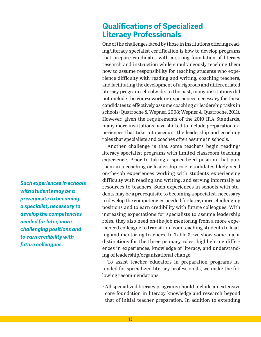# **Qualifications of Specialized Literacy Professionals**

One of the challenges faced by those in institutions offering reading/literacy specialist certification is how to develop programs that prepare candidates with a strong foundation of literacy research and instruction while simultaneously teaching them how to assume responsibility for teaching students who experience difficulty with reading and writing, coaching teachers, and facilitating the development of a rigorous and differentiated literacy program schoolwide. In the past, many institutions did not include the coursework or experiences necessary for these candidates to effectively assume coaching or leadership tasks in schools (Quatroche & Wepner, 2008; Wepner & Quatroche, 2011). However, given the requirements of the 2010 IRA Standards, many more institutions have shifted to include preparation experiences that take into account the leadership and coaching roles that specialists and coaches often assume in schools.

Another challenge is that some teachers begin reading/ literacy specialist programs with limited classroom teaching experience. Prior to taking a specialized position that puts them in a coaching or leadership role, candidates likely need on-the-job experiences working with students experiencing difficulty with reading and writing, and serving informally as resources to teachers. Such experiences in schools with students may be a prerequisite to becoming a specialist, necessary to develop the competencies needed for later, more challenging positions and to earn credibility with future colleagues. With increasing expectations for specialists to assume leadership roles, they also need on-the-job mentoring from a more experienced colleague to transition from teaching students to leading and mentoring teachers. In Table 3, we show some major distinctions for the three primary roles, highlighting differences in experiences, knowledge of literacy, and understanding of leadership/organizational change.

To assist teacher educators in preparation programs intended for specialized literacy professionals, we make the following recommendations:

• All specialized literacy programs should include an extensive core foundation in literacy knowledge and research beyond that of initial teacher preparation. In addition to extending

*Such experiences in schools with students may be a prerequisite to becoming a specialist, necessary to develop the competencies needed for later, more challenging positions and to earn credibility with future colleagues.*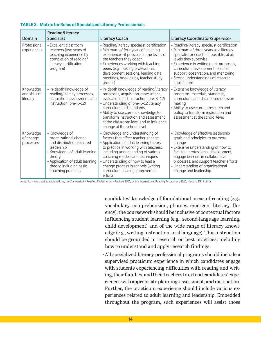| Domain                                 | <b>Reading/Literacy</b><br><b>Specialist</b>                                                                                                                                                                      | <b>Literacy Coach</b>                                                                                                                                                                                                                                                                                                                                      | <b>Literacy Coordinator/Supervisor</b>                                                                                                                                                                                                                                                                                                 |
|----------------------------------------|-------------------------------------------------------------------------------------------------------------------------------------------------------------------------------------------------------------------|------------------------------------------------------------------------------------------------------------------------------------------------------------------------------------------------------------------------------------------------------------------------------------------------------------------------------------------------------------|----------------------------------------------------------------------------------------------------------------------------------------------------------------------------------------------------------------------------------------------------------------------------------------------------------------------------------------|
| Professional<br>experiences            | • Excellent classroom<br>teachers (two years of<br>teaching experience by<br>completion of reading/<br>literacy certification<br>program)                                                                         | • Reading/literacy specialist certification<br>• Minimum of four years of teaching<br>experience-if possible, at the levels of<br>the teachers they coach<br>• Experiences working with teaching<br>peers (e.g., leading professional<br>development sessions, leading data<br>meetings, book clubs, teacher study<br>groups)                              | • Reading/literacy specialist certification<br>• Minimum of three years as a literacy<br>specialist or coach-if possible, at all<br>levels they supervise<br>• Experience in writing grant proposals,<br>curriculum development, teacher<br>support, observation, and mentoring<br>• Strong understandings of research<br>applications |
| Knowledge<br>and skills of<br>literacy | · In-depth knowledge of<br>reading/literacy processes,<br>acquisition, assessment, and<br>instruction (pre-K-12)                                                                                                  | • In-depth knowledge of reading/literacy<br>processes, acquisition, assessment,<br>evaluation, and instruction (pre-K-12)<br>• Understanding of pre-K-12 literacy<br>curriculum and standards<br>• Ability to use current knowledge to<br>transform instruction and assessment<br>at the classroom level and to influence<br>change at the school level    | • Extensive knowledge of literacy<br>programs, materials, standards,<br>curriculum, and data-based decision<br>making<br>• Ability to use current research and<br>policy to transform instruction and<br>assessment at the school level                                                                                                |
| Knowledge<br>of change<br>processes    | • Knowledge of<br>organizational change<br>and distributed or shared<br>leadership<br>• Knowledge of adult learning<br>theory<br>• Application of adult learning<br>theory, including basic<br>coaching practices | • Knowledge and understanding of<br>factors that affect teacher change<br>• Application of adult learning theory<br>to practice in working with teachers,<br>including understanding of various<br>coaching models and techniques<br>• Understanding of how to lead a<br>change process in schools (writing<br>curriculum, leading improvement<br>efforts) | • Knowledge of effective leadership<br>goals and principles to promote<br>change<br>• Extensive understanding of how to<br>facilitate professional development,<br>engage learners in collaborative<br>processes, and support teacher efforts<br>• Understanding of organizational<br>change and leadership                            |

#### **TABLE 3. Matrix for Roles of Specialized Literacy Professionals**

*Note*. For more detailed explanations, see *Standards for Reading Professionals—Revised 2010*, by the International Reading Association, 2010, Newark, DE: Author.

candidates' knowledge of foundational areas of reading (e.g., vocabulary, comprehension, phonics, emergent literacy, fluency), the coursework should be inclusive of contextual factors influencing student learning (e.g., second-language learning, child development) and of the wide range of literacy knowledge (e.g., writing instruction, oral language). This instruction should be grounded in research on best practices, including how to understand and apply research findings.

• All specialized literacy professional programs should include a supervised practicum experience in which candidates engage with students experiencing difficulties with reading and writing, their families, and their teachers to extend candidates' experiences with appropriate planning, assessment, and instruction. Further, the practicum experience should include various experiences related to adult learning and leadership. Embedded throughout the program, such experiences will assist those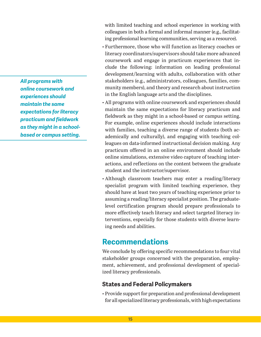*All programs with online coursework and experiences should maintain the same expectations for literacy practicum and fieldwork as they might in a schoolbased or campus setting.*

with limited teaching and school experience in working with colleagues in both a formal and informal manner (e.g., facilitating professional learning communities, serving as a resource).

- Furthermore, those who will function as literacy coaches or literacy coordinators/supervisors should take more advanced coursework and engage in practicum experiences that include the following: information on leading professional development/learning with adults, collaboration with other stakeholders (e.g., administrators, colleagues, families, community members), and theory and research about instruction in the English language arts and the disciplines.
- All programs with online coursework and experiences should maintain the same expectations for literacy practicum and fieldwork as they might in a school-based or campus setting. For example, online experiences should include interactions with families, teaching a diverse range of students (both academically and culturally), and engaging with teaching colleagues on data-informed instructional decision making. Any practicum offered in an online environment should include online simulations, extensive video capture of teaching interactions, and reflections on the content between the graduate student and the instructor/supervisor.
- Although classroom teachers may enter a reading/literacy specialist program with limited teaching experience, they should have at least two years of teaching experience prior to assuming a reading/literacy specialist position. The graduatelevel certification program should prepare professionals to more effectively teach literacy and select targeted literacy interventions, especially for those students with diverse learning needs and abilities.

# **Recommendations**

We conclude by offering specific recommendations to four vital stakeholder groups concerned with the preparation, employment, achievement, and professional development of specialized literacy professionals.

## **States and Federal Policymakers**

• Provide support for preparation and professional development for all specialized literacy professionals, with high expectations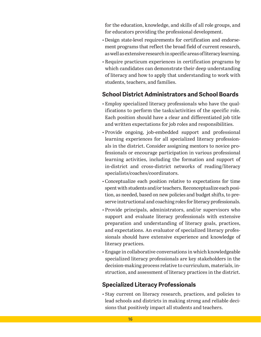for the education, knowledge, and skills of all role groups, and for educators providing the professional development.

- Design state-level requirements for certification and endorsement programs that reflect the broad field of current research, as well as extensive research in specific areas of literacy learning.
- Require practicum experiences in certification programs by which candidates can demonstrate their deep understanding of literacy and how to apply that understanding to work with students, teachers, and families.

# **School District Administrators and School Boards**

- Employ specialized literacy professionals who have the qualifications to perform the tasks/activities of the specific role. Each position should have a clear and differentiated job title and written expectations for job roles and responsibilities.
- Provide ongoing, job-embedded support and professional learning experiences for all specialized literacy professionals in the district. Consider assigning mentors to novice professionals or encourage participation in various professional learning activities, including the formation and support of in-district and cross-district networks of reading/literacy specialists/coaches/coordinators.
- Conceptualize each position relative to expectations for time spent with students and/or teachers. Reconceptualize each position, as needed, based on new policies and budget shifts, to preserve instructional and coaching roles for literacy professionals.
- Provide principals, administrators, and/or supervisors who support and evaluate literacy professionals with extensive preparation and understanding of literacy goals, practices, and expectations. An evaluator of specialized literacy professionals should have extensive experience and knowledge of literacy practices.
- Engage in collaborative conversations in which knowledgeable specialized literacy professionals are key stakeholders in the decision-making process relative to curriculum, materials, instruction, and assessment of literacy practices in the district.

# **Specialized Literacy Professionals**

• Stay current on literacy research, practices, and policies to lead schools and districts in making strong and reliable decisions that positively impact all students and teachers.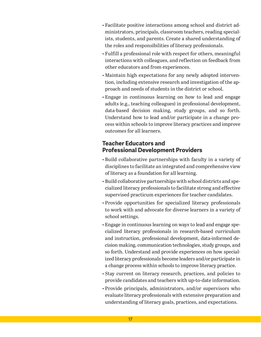- Facilitate positive interactions among school and district administrators, principals, classroom teachers, reading specialists, students, and parents. Create a shared understanding of the roles and responsibilities of literacy professionals.
- Fulfill a professional role with respect for others, meaningful interactions with colleagues, and reflection on feedback from other educators and from experiences.
- Maintain high expectations for any newly adopted intervention, including extensive research and investigation of the approach and needs of students in the district or school.
- Engage in continuous learning on how to lead and engage adults (e.g., teaching colleagues) in professional development, data-based decision making, study groups, and so forth. Understand how to lead and/or participate in a change process within schools to improve literacy practices and improve outcomes for all learners.

## **Teacher Educators and Professional Development Providers**

- Build collaborative partnerships with faculty in a variety of disciplines to facilitate an integrated and comprehensive view of literacy as a foundation for all learning.
- Build collaborative partnerships with school districts and specialized literacy professionals to facilitate strong and effective supervised practicum experiences for teacher candidates.
- Provide opportunities for specialized literacy professionals to work with and advocate for diverse learners in a variety of school settings.
- Engage in continuous learning on ways to lead and engage specialized literacy professionals in research-based curriculum and instruction, professional development, data-informed decision making, communication technologies, study groups, and so forth. Understand and provide experiences on how specialized literacy professionals become leaders and/or participate in a change process within schools to improve literacy practice.
- Stay current on literacy research, practices, and policies to provide candidates and teachers with up-to-date information.
- Provide principals, administrators, and/or supervisors who evaluate literacy professionals with extensive preparation and understanding of literacy goals, practices, and expectations.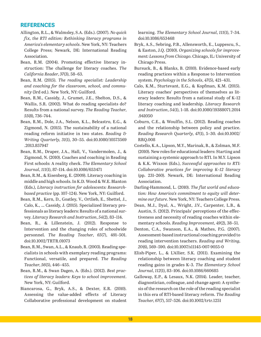## **REFERENCES**

- Allington, R.L., & Walmsley, S.A. (Eds.). (2007). *No quick fix, the RTI edition: Rethinking literacy programs in America's elementary schools*. New York, NY: Teachers College Press; Newark, DE: International Reading Association.
- Bean, R.M. (2004). Promoting effective literacy instruction: The challenge for literacy coaches. *The California Reader*, *37*(3), 58–63.
- Bean, R.M. (2015). *The reading specialist: Leadership and coaching for the classroom, school, and community* (3rd ed.). New York, NY: Guilford.
- Bean, R.M., Cassidy, J., Grumet, J.E., Shelton, D.S., & Wallis, S.R. (2002). What do reading specialists do? Results from a national survey. *The Reading Teacher*, *55*(8), 736–744.
- Bean, R.M., Dole, J.A., Nelson, K.L., Belcastro, E.G., & Zigmond, N. (2015). The sustainability of a national reading reform initiative in two states. *Reading & Writing Quarterly*, *31*(1), 30–55. [doi:10.1080/10573569](http://dx.doi.org/10.1080/10573569.2013.857947) [.2013.857947](http://dx.doi.org/10.1080/10573569.2013.857947)
- Bean, R.M., Draper, J.A., Hall, V., Vandermolen, J., & Zigmond, N. (2010). Coaches and coaching in Reading First schools: A reality check. *The Elementary School Journal*, *111*(1), 87–114. [doi:10.1086/653471](http://dx.doi.org/10.1086/653471)
- Bean, R.M., & Eisenberg, E. (2009). Literacy coaching in middle and high schools. In K.D. Wood & W.E. Blanton (Eds.), *Literacy instruction for adolescents: Researchbased practice* (pp. 107–124). New York, NY: Guilford.
- Bean, R.M., Kern, D., Goatley, V., Ortlieb, E., Shettel, J., Calo, K., ... Cassidy, J. (2015). Specialized literacy professionals as literacy leaders: Results of a national survey. *Literacy Research and Instruction*, *54*(2), 83–114.
- Bean, R., & Lillenstein, J. (2012). Response to Intervention and the changing roles of schoolwide personnel. *The Reading Teacher*, *65*(7), 491–501. [doi:10.1002/TRTR.01073](http://dx.doi.org/10.1002/TRTR.01073)
- Bean, R.M., Swan, A.L., & Knaub, R. (2003). Reading specialists in schools with exemplary reading programs: Functional, versatile, and prepared. *The Reading Teacher*, *56*(5), 446–455.
- Bean, R.M., & Swan Dagen, A. (Eds.). (2012). *Best practices of literacy leaders: Keys to school improvement*. New York, NY: Guilford.
- Biancarosa, G., Bryk, A.S., & Dexter, E.R. (2010). Assessing the value-added effects of Literacy Collaborative professional development on student

learning. *The Elementary School Journal*, *111*(1), 7–34. [doi:10.1086/653468](http://dx.doi.org/10.1086/653468)

- Bryk, A.S., Sebring, P.B., Allensworth, E., Luppescu, S., & Easton, J.Q. (2010). *Organizing schools for improvement: Lessons from Chicago*. Chicago, IL: University of Chicago Press.
- Bursuck, B., & Blanks, B. (2010). Evidence-based early reading practices within a Response to Intervention system. *Psychology in the Schools*, *47*(5), 421–431.
- Calo, K.M., Sturtevant, E.G., & Kopfman, K.M. (2015). Literacy coaches' perspectives of themselves as literacy leaders: Results from a national study of K–12 literacy coaching and leadership. *Literacy Research and Instruction*, *54*(1), 1–18. [doi:10.1080/19388071.2014](http://dx.doi.org/10.1080/19388071.2014.941050) [.941050](http://dx.doi.org/10.1080/19388071.2014.941050)
- Coburn, C.E., & Woulfin, S.L. (2012). Reading coaches and the relationship between policy and practice. *Reading Research Quarterly*, *47*(1), 5–30. [doi:10.1002/](http://dx.doi.org/10.1002/RRQ.008) [RRQ.008](http://dx.doi.org/10.1002/RRQ.008)
- Costello, K.A., Lipson, M.Y., Marinak, B., & Zolman, M.F. (2010). New roles for educational leaders: Starting and sustaining a systemic approach to RTI. In M.Y. Lipson & K.K. Wixson (Eds.), *Successful approaches to RTI: Collaborative practices for improving K–12 literacy* (pp. 231–260). Newark, DE: International Reading Association.
- Darling-Hammond, L. (2010). *The flat world and education: How America's commitment to equity will determine our future*. New York, NY: Teachers College Press.
- Dean, M.J., Dyal, A., Wright, J.V., Carpenter, L.B., & Austin, S. (2012). Principals' perceptions of the effectiveness and necessity of reading coaches within elementary schools. *Reading Improvement*, *49*(2), 38–51.
- Denton, C.A., Swanson, E.A., & Mathes, P.G. (2007). Assessment-based instructional coaching provided to reading intervention teachers. *Reading and Writing*, *20*(6), 569–590. [doi:10.1007/s11145-007-9055-0](http://dx.doi.org/10.1007/s11145-007-9055-0)
- Elish-Piper, L., & L'Allier, S.K. (2011). Examining the relationship between literacy coaching and student reading gains in grades K–3. *The Elementary School Journal*, *112*(1), 83–106. [doi:10.1086/660685](http://dx.doi.org/10.1086/660685)
- Galloway, E.P., & Lesaux, N.K. (2014). Leader, teacher, diagnostician, colleague, and change agent: A synthesis of the research on the role of the reading specialist in this era of RTI-based literacy reform. *The Reading Teacher*, *67*(7), 517–526. [doi:10.1002/trtr.1251](http://dx.doi.org/10.1002/trtr.1251)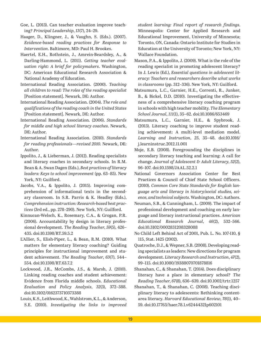- Goe, L. (2013). Can teacher evaluation improve teaching? *Principal Leadership*, *13*(7), 24–29.
- Haager, D., Klingner, J., & Vaughn, S. (Eds.). (2007). *Evidence-based reading practices for Response to Intervention*. Baltimore, MD: Paul H. Brookes.
- Haertel, E.H., Rothstein, J., Amrein-Beardsley, A., & Darling-Hammond, L. (2011). *Getting teacher evaluation right: A brief for policymakers*. Washington, DC: American Educational Research Association & National Academy of Education.
- International Reading Association. (2000). *Teaching all children to read: The roles of the reading specialist* [Position statement]. Newark, DE: Author.
- International Reading Association. (2004). *The role and qualifications of the reading coach in the United States* [Position statement]. Newark, DE: Author.
- International Reading Association. (2006). *Standards for middle and high school literacy coaches*. Newark, DE: Author.
- International Reading Association. (2010). *Standards for reading professionals—revised 2010*. Newark, DE: Author.
- Ippolito, J., & Lieberman, J. (2012). Reading specialists and literacy coaches in secondary schools. In R.M. Bean & A. Swan Dagen (Eds.), *Best practices of literacy leaders: Keys to school improvement* (pp. 63–85). New York, NY: Guilford.
- Jacobs, V.A., & Ippolito, J. (2015). Improving comprehension of informational texts in the secondary classroom. In S.R. Parris & K. Headley (Eds.), *Comprehension instruction: Research-based best practices* (3rd ed., pp. 278–290). New York, NY: Guilford.
- Kinnucan-Welsch, K., Rosemary, C.A., & Grogan, P.R. (2006). Accountability by design in literacy professional development. *The Reading Teacher*, *59*(5), 426– 435. [doi:10.1598/RT.59.5.2](http://dx.doi.org/10.1598/RT.59.5.2)
- L'Allier, S., Elish-Piper, L., & Bean, R.M. (2010). What matters for elementary literacy coaching? Guiding principles for instructional improvement and student achievement. *The Reading Teacher*, *63*(7), 544– 554. [doi:10.1598/RT.63.7.2](http://dx.doi.org/10.1598/RT.63.7.2)
- Lockwood, J.R., McCombs, J.S., & Marsh, J. (2010). Linking reading coaches and student achievement: Evidence from Florida middle schools. *Educational Evaluation and Policy Analysis*, *32*(3), 372–388. [doi:10.3102/0162373710373388](http://dx.doi.org/10.3102/0162373710373388)
- Louis, K.S., Leithwood, K., Wahlstrom, K.L., & Anderson, S.E. (2010). *Investigating the links to improved*

*student learning: Final report of research findings*. Minneapolis: Center for Applied Research and Educational Improvement, University of Minnesota; Toronto, ON, Canada: Ontario Institute for Studies in Education at the University of Toronto; New York, NY: Wallace Foundation.

- Mason, P.A., & Ippolito, J. (2009). What is the role of the reading specialist in promoting adolescent literacy? In J. Lewis (Ed.), *Essential questions in adolescent literacy: Teachers and researchers describe what works in classrooms* (pp. 312–336). New York, NY: Guilford.
- Matsumura, L.C., Garnier, H.E., Correnti, R., Junker, B., & Bickel, D.D. (2010). Investigating the effectiveness of a comprehensive literacy coaching program in schools with high teacher mobility. *The Elementary School Journal*, *111*(1), 35–62. [doi:10.1086/653469](http://dx.doi.org/10.1086/653469)
- Matsumura, L.C., Garnier, H.E., & Spybrook, J. (2013). Literacy coaching to improve student reading achievement: A multi-level mediation model. *Learning and Instruction*, *25*, 35–48. [doi:10.1016/](http://dx.doi.org/10.1016/j.learninstruc.2012.11.001) [j.learninstruc.2012.11.001](http://dx.doi.org/10.1016/j.learninstruc.2012.11.001)
- Moje, E.B. (2008). Foregrounding the disciplines in secondary literacy teaching and learning: A call for change. *Journal of Adolescent & Adult Literacy*, *52*(2), 96–107. [doi:10.1598/JAAL.52.2.1](http://dx.doi.org/10.1598/JAAL.52.2.1)
- National Governors Association Center for Best Practices & Council of Chief State School Officers. (2010). *Common Core State Standards for English language arts and literacy in history/social studies, science, and technical subjects*. Washington, DC: Authors.
- Neuman, S.B., & Cunningham, L. (2009). The impact of professional development and coaching on early language and literacy instructional practices. *American Educational Research Journal*, *46*(2), 532–566. [doi:10.3102/0002831208328088](http://dx.doi.org/10.3102/0002831208328088)
- No Child Left Behind Act of 2001, Pub. L. No. 107-110, § 115, Stat. 1425 (2002).
- Quatroche, D.J., & Wepner, S.B. (2008). Developing reading specialists as leaders: New directions for program development. *Literacy Research and Instruction*, *47*(2), 99–115. [doi:10.1080/19388070701878816](http://dx.doi.org/10.1080/19388070701878816)
- Shanahan, C., & Shanahan, T. (2014). Does disciplinary literacy have a place in elementary school? *The Reading Teacher*, *67*(8), 636–639. [doi:10.1002/trtr.1257](http://dx.doi.org/10.1002/trtr.1257)
- Shanahan, T., & Shanahan, C. (2008). Teaching disciplinary literacy to adolescents: Rethinking contentarea literacy. *Harvard Educational Review*, *78*(1), 40– 59. [doi:10.17763/haer.78.1.v62444321p602101](http://dx.doi.org/10.17763/haer.78.1.v62444321p602101)